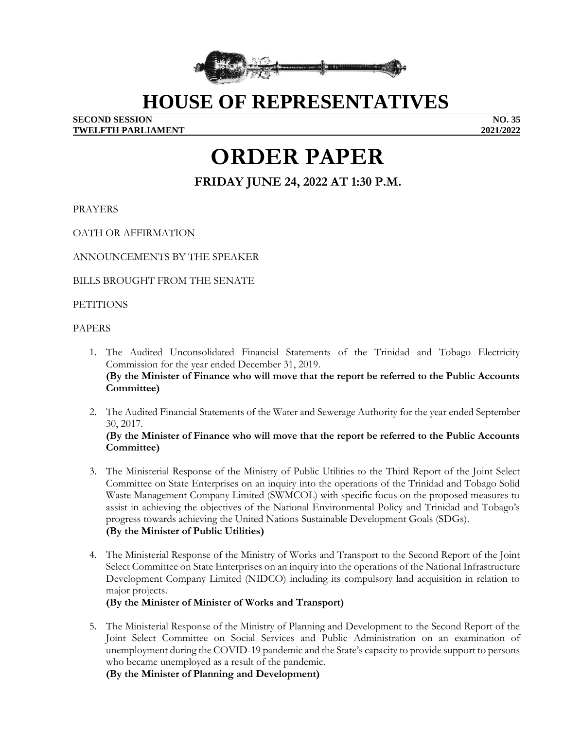

# **HOUSE OF REPRESENTATIVES**

**SECOND SESSION NO. 35 TWELFTH PARLIAMENT 2021/2022**

# **ORDER PAPER**

**FRIDAY JUNE 24, 2022 AT 1:30 P.M.**

PRAYERS

OATH OR AFFIRMATION

ANNOUNCEMENTS BY THE SPEAKER

BILLS BROUGHT FROM THE SENATE

**PETITIONS** 

PAPERS

- 1. The Audited Unconsolidated Financial Statements of the Trinidad and Tobago Electricity Commission for the year ended December 31, 2019. **(By the Minister of Finance who will move that the report be referred to the Public Accounts Committee)**
- 2. The Audited Financial Statements of the Water and Sewerage Authority for the year ended September 30, 2017. **(By the Minister of Finance who will move that the report be referred to the Public Accounts Committee)**
- 3. The Ministerial Response of the Ministry of Public Utilities to the Third Report of the Joint Select Committee on State Enterprises on an inquiry into the operations of the Trinidad and Tobago Solid Waste Management Company Limited (SWMCOL) with specific focus on the proposed measures to assist in achieving the objectives of the National Environmental Policy and Trinidad and Tobago's progress towards achieving the United Nations Sustainable Development Goals (SDGs). **(By the Minister of Public Utilities)**
- 4. The Ministerial Response of the Ministry of Works and Transport to the Second Report of the Joint Select Committee on State Enterprises on an inquiry into the operations of the National Infrastructure Development Company Limited (NIDCO) including its compulsory land acquisition in relation to major projects.

#### **(By the Minister of Minister of Works and Transport)**

5. The Ministerial Response of the Ministry of Planning and Development to the Second Report of the Joint Select Committee on Social Services and Public Administration on an examination of unemployment during the COVID-19 pandemic and the State's capacity to provide support to persons who became unemployed as a result of the pandemic.

**(By the Minister of Planning and Development)**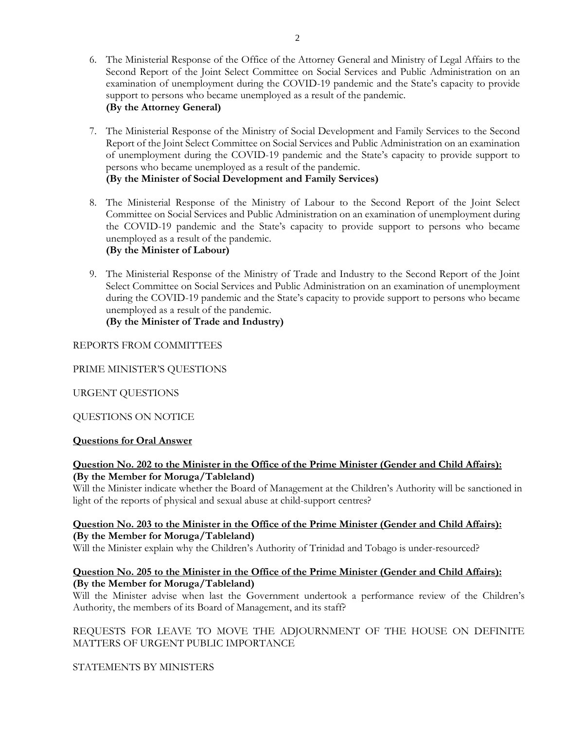- 6. The Ministerial Response of the Office of the Attorney General and Ministry of Legal Affairs to the Second Report of the Joint Select Committee on Social Services and Public Administration on an examination of unemployment during the COVID-19 pandemic and the State's capacity to provide support to persons who became unemployed as a result of the pandemic. **(By the Attorney General)**
- 7. The Ministerial Response of the Ministry of Social Development and Family Services to the Second Report of the Joint Select Committee on Social Services and Public Administration on an examination of unemployment during the COVID-19 pandemic and the State's capacity to provide support to persons who became unemployed as a result of the pandemic. **(By the Minister of Social Development and Family Services)**
- 8. The Ministerial Response of the Ministry of Labour to the Second Report of the Joint Select Committee on Social Services and Public Administration on an examination of unemployment during the COVID-19 pandemic and the State's capacity to provide support to persons who became unemployed as a result of the pandemic. **(By the Minister of Labour)**
- 9. The Ministerial Response of the Ministry of Trade and Industry to the Second Report of the Joint Select Committee on Social Services and Public Administration on an examination of unemployment during the COVID-19 pandemic and the State's capacity to provide support to persons who became unemployed as a result of the pandemic. **(By the Minister of Trade and Industry)**

#### REPORTS FROM COMMITTEES

#### PRIME MINISTER'S QUESTIONS

#### URGENT QUESTIONS

#### QUESTIONS ON NOTICE

#### **Questions for Oral Answer**

#### **Question No. 202 to the Minister in the Office of the Prime Minister (Gender and Child Affairs): (By the Member for Moruga/Tableland)**

Will the Minister indicate whether the Board of Management at the Children's Authority will be sanctioned in light of the reports of physical and sexual abuse at child-support centres?

#### **Question No. 203 to the Minister in the Office of the Prime Minister (Gender and Child Affairs): (By the Member for Moruga/Tableland)**

Will the Minister explain why the Children's Authority of Trinidad and Tobago is under-resourced?

#### **Question No. 205 to the Minister in the Office of the Prime Minister (Gender and Child Affairs): (By the Member for Moruga/Tableland)**

Will the Minister advise when last the Government undertook a performance review of the Children's Authority, the members of its Board of Management, and its staff?

### REQUESTS FOR LEAVE TO MOVE THE ADJOURNMENT OF THE HOUSE ON DEFINITE MATTERS OF URGENT PUBLIC IMPORTANCE

STATEMENTS BY MINISTERS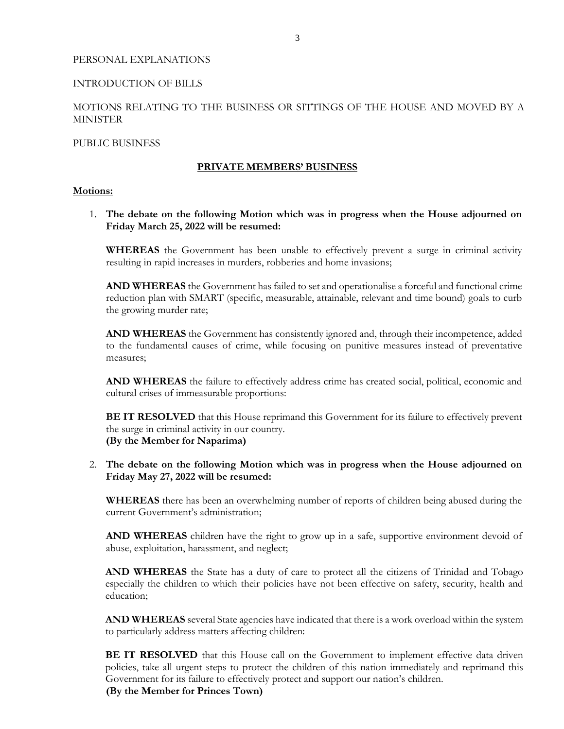#### PERSONAL EXPLANATIONS

#### INTRODUCTION OF BILLS

#### MOTIONS RELATING TO THE BUSINESS OR SITTINGS OF THE HOUSE AND MOVED BY A **MINISTER**

#### PUBLIC BUSINESS

#### **PRIVATE MEMBERS' BUSINESS**

#### **Motions:**

1. **The debate on the following Motion which was in progress when the House adjourned on Friday March 25, 2022 will be resumed:**

**WHEREAS** the Government has been unable to effectively prevent a surge in criminal activity resulting in rapid increases in murders, robberies and home invasions;

**AND WHEREAS** the Government has failed to set and operationalise a forceful and functional crime reduction plan with SMART (specific, measurable, attainable, relevant and time bound) goals to curb the growing murder rate;

**AND WHEREAS** the Government has consistently ignored and, through their incompetence, added to the fundamental causes of crime, while focusing on punitive measures instead of preventative measures;

**AND WHEREAS** the failure to effectively address crime has created social, political, economic and cultural crises of immeasurable proportions:

**BE IT RESOLVED** that this House reprimand this Government for its failure to effectively prevent the surge in criminal activity in our country. **(By the Member for Naparima)**

2. **The debate on the following Motion which was in progress when the House adjourned on Friday May 27, 2022 will be resumed:**

**WHEREAS** there has been an overwhelming number of reports of children being abused during the current Government's administration;

**AND WHEREAS** children have the right to grow up in a safe, supportive environment devoid of abuse, exploitation, harassment, and neglect;

AND WHEREAS the State has a duty of care to protect all the citizens of Trinidad and Tobago especially the children to which their policies have not been effective on safety, security, health and education;

**AND WHEREAS** several State agencies have indicated that there is a work overload within the system to particularly address matters affecting children:

**BE IT RESOLVED** that this House call on the Government to implement effective data driven policies, take all urgent steps to protect the children of this nation immediately and reprimand this Government for its failure to effectively protect and support our nation's children.

**(By the Member for Princes Town)**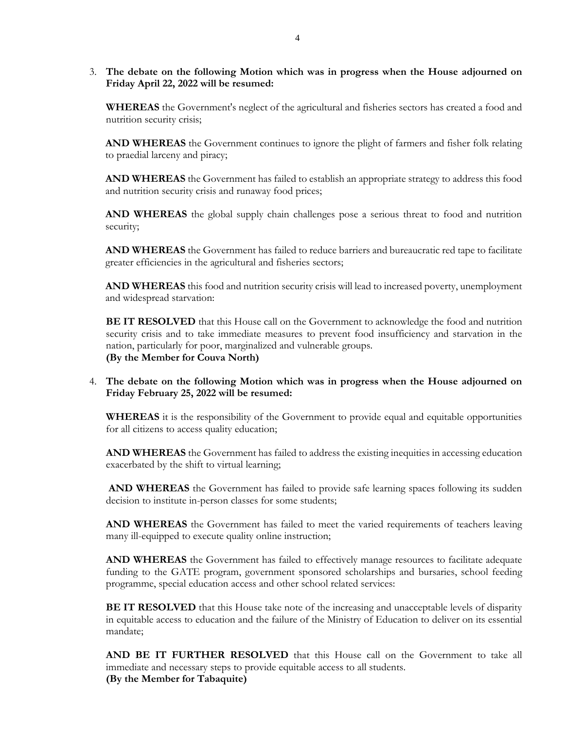3. **The debate on the following Motion which was in progress when the House adjourned on Friday April 22, 2022 will be resumed:**

**WHEREAS** the Government's neglect of the agricultural and fisheries sectors has created a food and nutrition security crisis;

**AND WHEREAS** the Government continues to ignore the plight of farmers and fisher folk relating to praedial larceny and piracy;

**AND WHEREAS** the Government has failed to establish an appropriate strategy to address this food and nutrition security crisis and runaway food prices;

**AND WHEREAS** the global supply chain challenges pose a serious threat to food and nutrition security;

**AND WHEREAS** the Government has failed to reduce barriers and bureaucratic red tape to facilitate greater efficiencies in the agricultural and fisheries sectors;

**AND WHEREAS** this food and nutrition security crisis will lead to increased poverty, unemployment and widespread starvation:

**BE IT RESOLVED** that this House call on the Government to acknowledge the food and nutrition security crisis and to take immediate measures to prevent food insufficiency and starvation in the nation, particularly for poor, marginalized and vulnerable groups. **(By the Member for Couva North)**

#### 4. **The debate on the following Motion which was in progress when the House adjourned on Friday February 25, 2022 will be resumed:**

**WHEREAS** it is the responsibility of the Government to provide equal and equitable opportunities for all citizens to access quality education;

**AND WHEREAS** the Government has failed to address the existing inequities in accessing education exacerbated by the shift to virtual learning;

**AND WHEREAS** the Government has failed to provide safe learning spaces following its sudden decision to institute in-person classes for some students;

**AND WHEREAS** the Government has failed to meet the varied requirements of teachers leaving many ill-equipped to execute quality online instruction;

AND WHEREAS the Government has failed to effectively manage resources to facilitate adequate funding to the GATE program, government sponsored scholarships and bursaries, school feeding programme, special education access and other school related services:

**BE IT RESOLVED** that this House take note of the increasing and unacceptable levels of disparity in equitable access to education and the failure of the Ministry of Education to deliver on its essential mandate;

**AND BE IT FURTHER RESOLVED** that this House call on the Government to take all immediate and necessary steps to provide equitable access to all students. **(By the Member for Tabaquite)**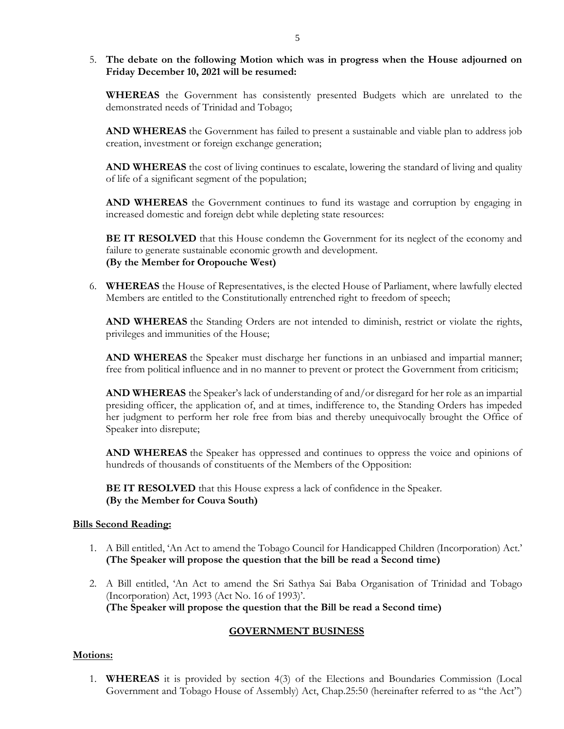#### 5. **The debate on the following Motion which was in progress when the House adjourned on Friday December 10, 2021 will be resumed:**

**WHEREAS** the Government has consistently presented Budgets which are unrelated to the demonstrated needs of Trinidad and Tobago;

**AND WHEREAS** the Government has failed to present a sustainable and viable plan to address job creation, investment or foreign exchange generation;

**AND WHEREAS** the cost of living continues to escalate, lowering the standard of living and quality of life of a significant segment of the population;

**AND WHEREAS** the Government continues to fund its wastage and corruption by engaging in increased domestic and foreign debt while depleting state resources:

**BE IT RESOLVED** that this House condemn the Government for its neglect of the economy and failure to generate sustainable economic growth and development. **(By the Member for Oropouche West)**

6. **WHEREAS** the House of Representatives, is the elected House of Parliament, where lawfully elected Members are entitled to the Constitutionally entrenched right to freedom of speech;

**AND WHEREAS** the Standing Orders are not intended to diminish, restrict or violate the rights, privileges and immunities of the House;

**AND WHEREAS** the Speaker must discharge her functions in an unbiased and impartial manner; free from political influence and in no manner to prevent or protect the Government from criticism;

**AND WHEREAS** the Speaker's lack of understanding of and/or disregard for her role as an impartial presiding officer, the application of, and at times, indifference to, the Standing Orders has impeded her judgment to perform her role free from bias and thereby unequivocally brought the Office of Speaker into disrepute;

**AND WHEREAS** the Speaker has oppressed and continues to oppress the voice and opinions of hundreds of thousands of constituents of the Members of the Opposition:

**BE IT RESOLVED** that this House express a lack of confidence in the Speaker. **(By the Member for Couva South)**

#### **Bills Second Reading:**

- 1. A Bill entitled, 'An Act to amend the Tobago Council for Handicapped Children (Incorporation) Act.' **(The Speaker will propose the question that the bill be read a Second time)**
- 2. A Bill entitled, 'An Act to amend the Sri Sathya Sai Baba Organisation of Trinidad and Tobago (Incorporation) Act, 1993 (Act No. 16 of 1993)'. **(The Speaker will propose the question that the Bill be read a Second time)**

#### **GOVERNMENT BUSINESS**

#### **Motions:**

1. **WHEREAS** it is provided by section 4(3) of the Elections and Boundaries Commission (Local Government and Tobago House of Assembly) Act, Chap.25:50 (hereinafter referred to as "the Act")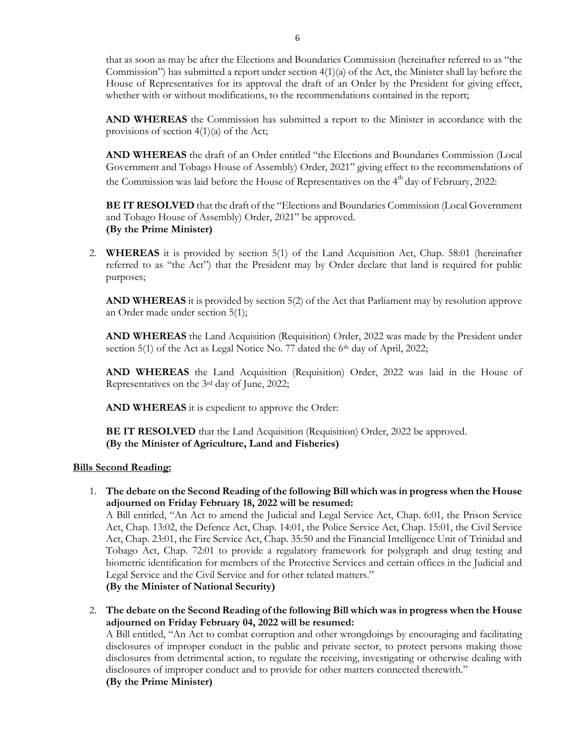that as soon as may be after the Elections and Boundaries Commission (hereinafter referred to as "the Commission") has submitted a report under section 4(1)(a) of the Act, the Minister shall lay before the House of Representatives for its approval the draft of an Order by the President for giving effect, whether with or without modifications, to the recommendations contained in the report;

**AND WHEREAS** the Commission has submitted a report to the Minister in accordance with the provisions of section  $4(1)(a)$  of the Act;

**AND WHEREAS** the draft of an Order entitled "the Elections and Boundaries Commission (Local Government and Tobago House of Assembly) Order, 2021" giving effect to the recommendations of the Commission was laid before the House of Representatives on the  $4<sup>th</sup>$  day of February, 2022:

**BE IT RESOLVED** that the draft of the "Elections and Boundaries Commission (Local Government and Tobago House of Assembly) Order, 2021" be approved. **(By the Prime Minister)**

2. **WHEREAS** it is provided by section 5(1) of the Land Acquisition Act, Chap. 58:01 (hereinafter referred to as "the Act") that the President may by Order declare that land is required for public purposes;

**AND WHEREAS** it is provided by section 5(2) of the Act that Parliament may by resolution approve an Order made under section 5(1);

**AND WHEREAS** the Land Acquisition (Requisition) Order, 2022 was made by the President under section 5(1) of the Act as Legal Notice No. 77 dated the 6<sup>th</sup> day of April, 2022;

**AND WHEREAS** the Land Acquisition (Requisition) Order, 2022 was laid in the House of Representatives on the 3rd day of June, 2022;

**AND WHEREAS** it is expedient to approve the Order:

**BE IT RESOLVED** that the Land Acquisition (Requisition) Order, 2022 be approved. **(By the Minister of Agriculture, Land and Fisheries)**

#### **Bills Second Reading:**

1. **The debate on the Second Reading of the following Bill which was in progress when the House adjourned on Friday February 18, 2022 will be resumed:**

A Bill entitled, "An Act to amend the Judicial and Legal Service Act, Chap. 6:01, the Prison Service Act, Chap. 13:02, the Defence Act, Chap. 14:01, the Police Service Act, Chap. 15:01, the Civil Service Act, Chap. 23:01, the Fire Service Act, Chap. 35:50 and the Financial Intelligence Unit of Trinidad and Tobago Act, Chap. 72:01 to provide a regulatory framework for polygraph and drug testing and biometric identification for members of the Protective Services and certain offices in the Judicial and Legal Service and the Civil Service and for other related matters." **(By the Minister of National Security)**

2. **The debate on the Second Reading of the following Bill which was in progress when the House adjourned on Friday February 04, 2022 will be resumed:** A Bill entitled, "An Act to combat corruption and other wrongdoings by encouraging and facilitating

disclosures of improper conduct in the public and private sector, to protect persons making those disclosures from detrimental action, to regulate the receiving, investigating or otherwise dealing with disclosures of improper conduct and to provide for other matters connected therewith."

**(By the Prime Minister)**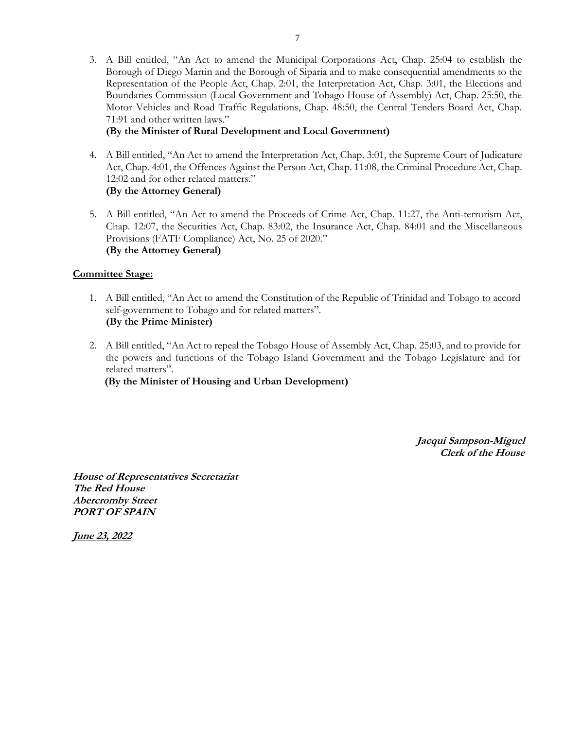3. A Bill entitled, "An Act to amend the Municipal Corporations Act, Chap. 25:04 to establish the Borough of Diego Martin and the Borough of Siparia and to make consequential amendments to the Representation of the People Act, Chap. 2:01, the Interpretation Act, Chap. 3:01, the Elections and Boundaries Commission (Local Government and Tobago House of Assembly) Act, Chap. 25:50, the Motor Vehicles and Road Traffic Regulations, Chap. 48:50, the Central Tenders Board Act, Chap. 71:91 and other written laws."

#### **(By the Minister of Rural Development and Local Government)**

- 4. A Bill entitled, "An Act to amend the Interpretation Act, Chap. 3:01, the Supreme Court of Judicature Act, Chap. 4:01, the Offences Against the Person Act, Chap. 11:08, the Criminal Procedure Act, Chap. 12:02 and for other related matters." **(By the Attorney General)**
- 5. A Bill entitled, "An Act to amend the Proceeds of Crime Act, Chap. 11:27, the Anti-terrorism Act, Chap. 12:07, the Securities Act, Chap. 83:02, the Insurance Act, Chap. 84:01 and the Miscellaneous Provisions (FATF Compliance) Act, No. 25 of 2020." **(By the Attorney General)**

#### **Committee Stage:**

- 1. A Bill entitled, "An Act to amend the Constitution of the Republic of Trinidad and Tobago to accord self-government to Tobago and for related matters". **(By the Prime Minister)**
- 2. A Bill entitled, "An Act to repeal the Tobago House of Assembly Act, Chap. 25:03, and to provide for the powers and functions of the Tobago Island Government and the Tobago Legislature and for related matters".

 **(By the Minister of Housing and Urban Development)**

**Jacqui Sampson-Miguel Clerk of the House** 

**House of Representatives Secretariat The Red House Abercromby Street PORT OF SPAIN**

**June 23, 2022**